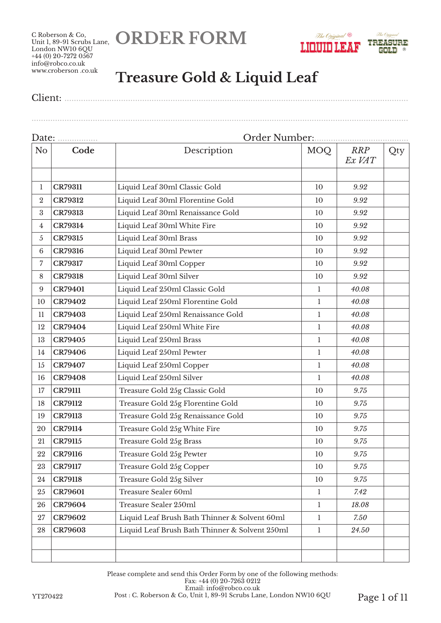**ORDER FORM**





## **Treasure Gold & Liquid Leaf**

Client: ..................................................................................................................................................

Date: ................. Order Number:........................................ No **Code Description** MOQ *RRP Ex VAT* Qty **CR79311** Liquid Leaf 30ml Classic Gold 10 *9.92* **CR79312** Liquid Leaf 30ml Florentine Gold 10 *9.92* **CR79313** Liquid Leaf 30ml Renaissance Gold 10 *9.92* **CR79314** Liquid Leaf 30ml White Fire 10 *9.92* **CR79315** Liquid Leaf 30ml Brass 10 *9.92* **CR79316** Liquid Leaf 30ml Pewter 10 *9.92* **CR79317** Liquid Leaf 30ml Copper 10 *9.92* **CR79318** Liquid Leaf 30ml Silver 10 10 9.92 **CR79401** Liquid Leaf 250ml Classic Gold 1 *40.08* **CR79402** Liquid Leaf 250ml Florentine Gold 1 *40.08* **CR79403** Liquid Leaf 250ml Renaissance Gold 1 *40.08* **CR79404** Liquid Leaf 250ml White Fire 1 *40.08* **CR79405** Liquid Leaf 250ml Brass 1 1 40.08 **CR79406** Liquid Leaf 250ml Pewter 1 *40.08* **CR79407** Liquid Leaf 250ml Copper 1 *40.08* **CR79408** Liquid Leaf 250ml Silver 1 *40.08* **CR79111** Treasure Gold 25g Classic Gold 10 *9.75* **CR79112** Treasure Gold 25g Florentine Gold 10 *9.75* **CR79113** Treasure Gold 25g Renaissance Gold 10 *9.75* **CR79114** Treasure Gold 25g White Fire 10 *9.75* **CR79115** Treasure Gold 25g Brass 10 *9.75* **CR79116** Treasure Gold 25g Pewter 10 *9.75* **CR79117** Treasure Gold 25g Copper 10 *9.75* **CR79118** Treasure Gold 25g Silver 10 *9.75* **CR79601** Treasure Sealer 60ml 1 *7.42* **CR79604** Treasure Sealer 250ml 1 *18.08* **CR79602** Liquid Leaf Brush Bath Thinner & Solvent 60ml 1 *7.50* **CR79603** Liquid Leaf Brush Bath Thinner & Solvent 250ml 1 *24.50*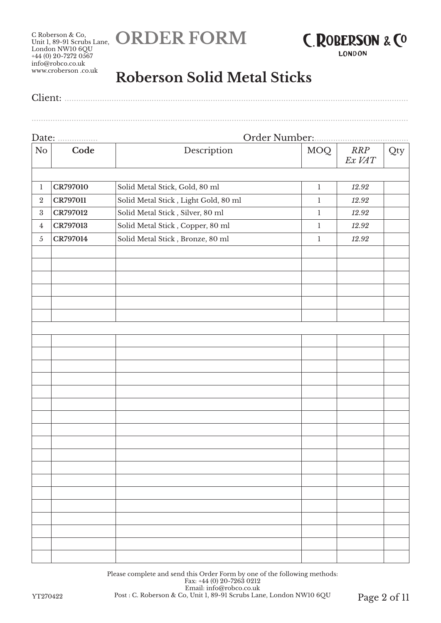**ORDER FORM**





**LONDON** 

## **Roberson Solid Metal Sticks**

Client: ..................................................................................................................................................

................................................................................................................................................................

| Date:<br>.   |          |                                      | Order Number: |               |     |  |
|--------------|----------|--------------------------------------|---------------|---------------|-----|--|
| No           | Code     | Description                          | <b>MOQ</b>    | RRP<br>Ex VAT | Qty |  |
|              |          |                                      |               |               |     |  |
| $\mathbf{1}$ | CR797010 | Solid Metal Stick, Gold, 80 ml       | $\,1$         | 12.92         |     |  |
| $\,2$        | CR797011 | Solid Metal Stick, Light Gold, 80 ml | $\bf{l}$      | 12.92         |     |  |
| $\rm 3$      | CR797012 | Solid Metal Stick, Silver, 80 ml     | $\mathbf 1$   | 12.92         |     |  |
| $\bf 4$      | CR797013 | Solid Metal Stick, Copper, 80 ml     | $\mathbf 1$   | 12.92         |     |  |
| $\sqrt{5}$   | CR797014 | Solid Metal Stick, Bronze, 80 ml     | $\mathbf 1$   | 12.92         |     |  |
|              |          |                                      |               |               |     |  |
|              |          |                                      |               |               |     |  |
|              |          |                                      |               |               |     |  |
|              |          |                                      |               |               |     |  |
|              |          |                                      |               |               |     |  |
|              |          |                                      |               |               |     |  |
|              |          |                                      |               |               |     |  |
|              |          |                                      |               |               |     |  |
|              |          |                                      |               |               |     |  |
|              |          |                                      |               |               |     |  |
|              |          |                                      |               |               |     |  |
|              |          |                                      |               |               |     |  |
|              |          |                                      |               |               |     |  |
|              |          |                                      |               |               |     |  |
|              |          |                                      |               |               |     |  |
|              |          |                                      |               |               |     |  |
|              |          |                                      |               |               |     |  |
|              |          |                                      |               |               |     |  |
|              |          |                                      |               |               |     |  |
|              |          |                                      |               |               |     |  |
|              |          |                                      |               |               |     |  |
|              |          |                                      |               |               |     |  |
|              |          |                                      |               |               |     |  |
|              |          |                                      |               |               |     |  |
|              |          |                                      |               |               |     |  |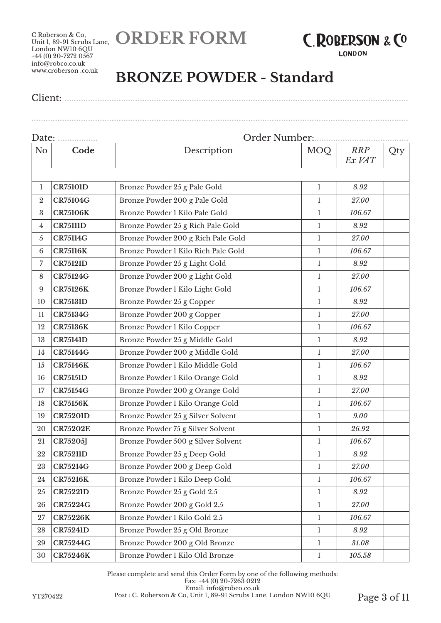**ORDER FORM**



**LONDON** 

## **BRONZE POWDER - Standard**

Client: ..................................................................................................................................................

| Date:            |                 | Order Number:                       |              |                      |     |  |  |
|------------------|-----------------|-------------------------------------|--------------|----------------------|-----|--|--|
| N <sub>o</sub>   | Code            | Description                         | MOQ          | <b>RRP</b><br>Ex VAT | Qty |  |  |
|                  |                 |                                     |              |                      |     |  |  |
| 1                | <b>CR75101D</b> | Bronze Powder 25 g Pale Gold        | $\mathbf{1}$ | 8.92                 |     |  |  |
| $\boldsymbol{2}$ | <b>CR75104G</b> | Bronze Powder 200 g Pale Gold       | $\mathbf{1}$ | 27.00                |     |  |  |
| 3                | <b>CR75106K</b> | Bronze Powder 1 Kilo Pale Gold      | $\mathbf{1}$ | 106.67               |     |  |  |
| 4                | <b>CR75111D</b> | Bronze Powder 25 g Rich Pale Gold   | $\mathbf{1}$ | 8.92                 |     |  |  |
| 5                | <b>CR75114G</b> | Bronze Powder 200 g Rich Pale Gold  | 1            | 27.00                |     |  |  |
| $\,6\,$          | <b>CR75116K</b> | Bronze Powder 1 Kilo Rich Pale Gold | $\mathbf{1}$ | 106.67               |     |  |  |
| 7                | <b>CR75121D</b> | Bronze Powder 25 g Light Gold       | 1            | 8.92                 |     |  |  |
| 8                | <b>CR75124G</b> | Bronze Powder 200 g Light Gold      | $\mathbf{1}$ | 27.00                |     |  |  |
| 9                | <b>CR75126K</b> | Bronze Powder 1 Kilo Light Gold     | $\mathbf{1}$ | 106.67               |     |  |  |
| 10               | <b>CR75131D</b> | Bronze Powder 25 g Copper           | $\mathbf{1}$ | 8.92                 |     |  |  |
| 11               | <b>CR75134G</b> | Bronze Powder 200 g Copper          | $\mathbf{1}$ | 27.00                |     |  |  |
| 12               | <b>CR75136K</b> | Bronze Powder 1 Kilo Copper         | $\mathbf{1}$ | 106.67               |     |  |  |
| 13               | <b>CR75141D</b> | Bronze Powder 25 g Middle Gold      | $\mathbf{1}$ | $8.92\,$             |     |  |  |
| 14               | <b>CR75144G</b> | Bronze Powder 200 g Middle Gold     | $\mathbf{1}$ | 27.00                |     |  |  |
| 15               | <b>CR75146K</b> | Bronze Powder 1 Kilo Middle Gold    | $\mathbf{1}$ | 106.67               |     |  |  |
| 16               | <b>CR75151D</b> | Bronze Powder 1 Kilo Orange Gold    | $\mathbf{1}$ | 8.92                 |     |  |  |
| 17               | <b>CR75154G</b> | Bronze Powder 200 g Orange Gold     | $\mathbf{1}$ | 27.00                |     |  |  |
| 18               | <b>CR75156K</b> | Bronze Powder 1 Kilo Orange Gold    | $\mathbf{1}$ | 106.67               |     |  |  |
| 19               | <b>CR75201D</b> | Bronze Powder 25 g Silver Solvent   | $\mathbf{1}$ | 9.00                 |     |  |  |
| 20               | <b>CR75202E</b> | Bronze Powder 75 g Silver Solvent   | $\mathbf{1}$ | 26.92                |     |  |  |
| 21               | <b>CR75205J</b> | Bronze Powder 500 g Silver Solvent  | $\mathbf{1}$ | 106.67               |     |  |  |
| 22               | <b>CR75211D</b> | Bronze Powder 25 g Deep Gold        | 1            | 8.92                 |     |  |  |
| 23               | <b>CR75214G</b> | Bronze Powder 200 g Deep Gold       | 1            | 27.00                |     |  |  |
| 24               | <b>CR75216K</b> | Bronze Powder 1 Kilo Deep Gold      | $\mathbf{1}$ | 106.67               |     |  |  |
| 25               | <b>CR75221D</b> | Bronze Powder 25 g Gold 2.5         | $\mathbf{1}$ | 8.92                 |     |  |  |
| 26               | <b>CR75224G</b> | Bronze Powder 200 g Gold 2.5        | $\mathbf{1}$ | 27.00                |     |  |  |
| 27               | <b>CR75226K</b> | Bronze Powder 1 Kilo Gold 2.5       | 1            | 106.67               |     |  |  |
| 28               | <b>CR75241D</b> | Bronze Powder 25 g Old Bronze       | $\mathbf{1}$ | 8.92                 |     |  |  |
| 29               | <b>CR75244G</b> | Bronze Powder 200 g Old Bronze      | $\mathbf{1}$ | 31.08                |     |  |  |
| 30               | <b>CR75246K</b> | Bronze Powder 1 Kilo Old Bronze     | $\mathbf{1}$ | 105.58               |     |  |  |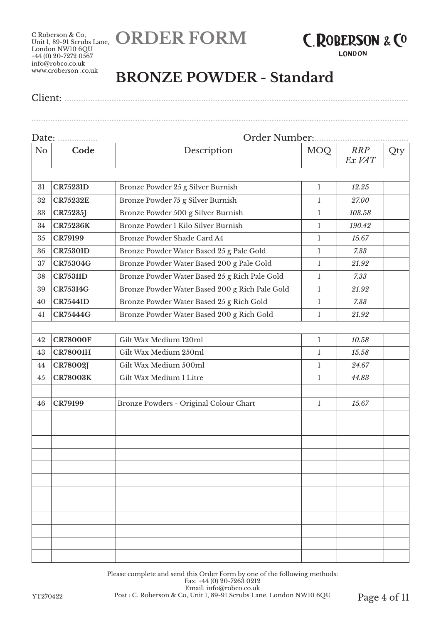**ORDER FORM**



**LONDON** 

## **BRONZE POWDER - Standard**

Client: ..................................................................................................................................................

| Date:          |                 | Order Number:                                  |              |                      |     |  |
|----------------|-----------------|------------------------------------------------|--------------|----------------------|-----|--|
| N <sub>o</sub> | Code            | Description                                    | <b>MOQ</b>   | <b>RRP</b><br>Ex VAT | Qty |  |
|                |                 |                                                |              |                      |     |  |
| 31             | <b>CR75231D</b> | Bronze Powder 25 g Silver Burnish              | $\mathbf{1}$ | 12.25                |     |  |
| 32             | <b>CR75232E</b> | Bronze Powder 75 g Silver Burnish              | $\mathbf{1}$ | 27.00                |     |  |
| 33             | CR75235J        | Bronze Powder 500 g Silver Burnish             | $\mathbf{1}$ | 103.58               |     |  |
| 34             | <b>CR75236K</b> | Bronze Powder 1 Kilo Silver Burnish            | $\mathbf{1}$ | 190.42               |     |  |
| 35             | <b>CR79199</b>  | Bronze Powder Shade Card A4                    | 1            | 15.67                |     |  |
| 36             | <b>CR75301D</b> | Bronze Powder Water Based 25 g Pale Gold       | $\mathbf{1}$ | 7.33                 |     |  |
| 37             | <b>CR75304G</b> | Bronze Powder Water Based 200 g Pale Gold      | 1            | 21.92                |     |  |
| 38             | <b>CR75311D</b> | Bronze Powder Water Based 25 g Rich Pale Gold  | $\mathbf{1}$ | 7.33                 |     |  |
| 39             | <b>CR75314G</b> | Bronze Powder Water Based 200 g Rich Pale Gold | $\mathbf{1}$ | 21.92                |     |  |
| 40             | <b>CR75441D</b> | Bronze Powder Water Based 25 g Rich Gold       | $\mathbf{1}$ | 7.33                 |     |  |
| 41             | <b>CR75444G</b> | Bronze Powder Water Based 200 g Rich Gold      | $\mathbf{1}$ | 21.92                |     |  |
|                |                 |                                                |              |                      |     |  |
| 42             | <b>CR78000F</b> | Gilt Wax Medium 120ml                          | $\mathbf{1}$ | 10.58                |     |  |
| 43             | <b>CR78001H</b> | Gilt Wax Medium 250ml                          | $\mathbf{1}$ | 15.58                |     |  |
| 44             | <b>CR78002J</b> | Gilt Wax Medium 500ml                          | 1            | 24.67                |     |  |
| 45             | <b>CR78003K</b> | Gilt Wax Medium 1 Litre                        | $\mathbf{1}$ | 44.83                |     |  |
|                |                 |                                                |              |                      |     |  |
| 46             | <b>CR79199</b>  | Bronze Powders - Original Colour Chart         | $\mathbf{1}$ | 15.67                |     |  |
|                |                 |                                                |              |                      |     |  |
|                |                 |                                                |              |                      |     |  |
|                |                 |                                                |              |                      |     |  |
|                |                 |                                                |              |                      |     |  |
|                |                 |                                                |              |                      |     |  |
|                |                 |                                                |              |                      |     |  |
|                |                 |                                                |              |                      |     |  |
|                |                 |                                                |              |                      |     |  |
|                |                 |                                                |              |                      |     |  |
|                |                 |                                                |              |                      |     |  |
|                |                 |                                                |              |                      |     |  |
|                |                 |                                                |              |                      |     |  |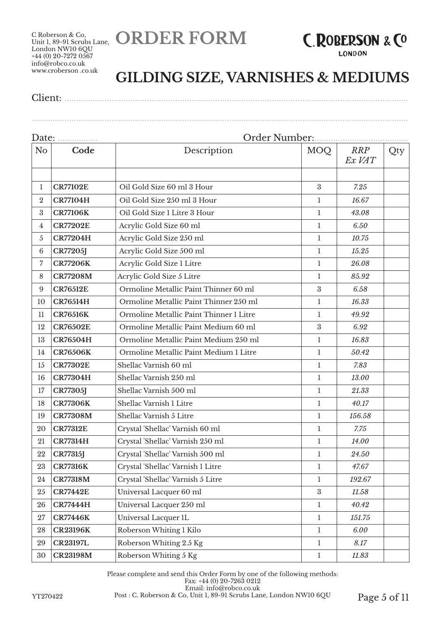**ORDER FORM**



**GILDING SIZE, VARNISHES & MEDIUMS**

Client: ..................................................................................................................................................

| N <sub>o</sub>  | Code            | Description                             | MOQ              | <b>RRP</b><br>Ex VAT | Qty |  |
|-----------------|-----------------|-----------------------------------------|------------------|----------------------|-----|--|
| 1               | <b>CR77102E</b> | Oil Gold Size 60 ml 3 Hour              | $\boldsymbol{3}$ | 7.25                 |     |  |
| $\overline{2}$  | <b>CR77104H</b> | Oil Gold Size 250 ml 3 Hour             | 1                | 16.67                |     |  |
| 3               | <b>CR77106K</b> | Oil Gold Size 1 Litre 3 Hour            | $\mathbf{1}$     | 43.08                |     |  |
| 4               | <b>CR77202E</b> | Acrylic Gold Size 60 ml                 | 1                | 6.50                 |     |  |
| $\overline{5}$  | <b>CR77204H</b> | Acrylic Gold Size 250 ml                | $\mathbf{1}$     | 10.75                |     |  |
| $6\phantom{1}6$ | <b>CR77205J</b> | Acrylic Gold Size 500 ml                | $\mathbf{1}$     | 15.25                |     |  |
| 7               | <b>CR77206K</b> | Acrylic Gold Size 1 Litre               | $\mathbf{1}$     | 26.08                |     |  |
| 8               | <b>CR77208M</b> | Acrylic Gold Size 5 Litre               | $\mathbf{1}$     | 85.92                |     |  |
| 9               | <b>CR76512E</b> | Ormoline Metallic Paint Thinner 60 ml   | 3                | 6.58                 |     |  |
| 10              | <b>CR76514H</b> | Ormoline Metallic Paint Thinner 250 ml  | $\mathbf{1}$     | 16.33                |     |  |
| 11              | <b>CR76516K</b> | Ormoline Metallic Paint Thinner 1 Litre | 1                | 49.92                |     |  |
| 12              | <b>CR76502E</b> | Ormoline Metallic Paint Medium 60 ml    | $\boldsymbol{3}$ | 6.92                 |     |  |
| 13              | <b>CR76504H</b> | Ormoline Metallic Paint Medium 250 ml   | $\mathbf{1}$     | 16.83                |     |  |
| 14              | <b>CR76506K</b> | Ormoline Metallic Paint Medium 1 Litre  | $\mathbf{1}$     | 50.42                |     |  |
| 15              | <b>CR77302E</b> | Shellac Varnish 60 ml                   | $\mathbf{1}$     | 7.83                 |     |  |
| 16              | <b>CR77304H</b> | Shellac Varnish 250 ml                  | 1                | 13.00                |     |  |
| 17              | <b>CR77305J</b> | Shellac Varnish 500 ml                  | $\mathbf{1}$     | 21.33                |     |  |
| 18              | <b>CR77306K</b> | Shellac Varnish 1 Litre                 | 1                | 40.17                |     |  |
| 19              | <b>CR77308M</b> | Shellac Varnish 5 Litre                 | $\mathbf{1}$     | 156.58               |     |  |
| 20              | <b>CR77312E</b> | Crystal 'Shellac' Varnish 60 ml         | $\mathbf{1}$     | 7.75                 |     |  |
| 21              | <b>CR77314H</b> | Crystal 'Shellac' Varnish 250 ml        | $\mathbf{1}$     | 14.00                |     |  |
| 22              | <b>CR77315J</b> | Crystal 'Shellac' Varnish 500 ml        | $\mathbf{1}$     | 24.50                |     |  |
| 23              | <b>CR77316K</b> | Crystal 'Shellac' Varnish 1 Litre       | 1                | 47.67                |     |  |
| 24              | <b>CR77318M</b> | Crystal 'Shellac' Varnish 5 Litre       | 1                | 192.67               |     |  |
| 25              | <b>CR77442E</b> | Universal Lacquer 60 ml                 | $\boldsymbol{3}$ | 11.58                |     |  |
| 26              | <b>CR77444H</b> | Universal Lacquer 250 ml                | $\mathbf{1}$     | 40.42                |     |  |
| 27              | <b>CR77446K</b> | Universal Lacquer 1L                    | $\mathbf{1}$     | 151.75               |     |  |
| 28              | <b>CR23196K</b> | Roberson Whiting 1 Kilo                 | $\mathbf{1}$     | 6.00                 |     |  |
| 29              | <b>CR23197L</b> | Roberson Whiting 2.5 Kg                 | $\mathbf{1}$     | 8.17                 |     |  |
| 30              | <b>CR23198M</b> | Roberson Whiting 5 Kg                   | $\mathbf{1}$     | 11.83                |     |  |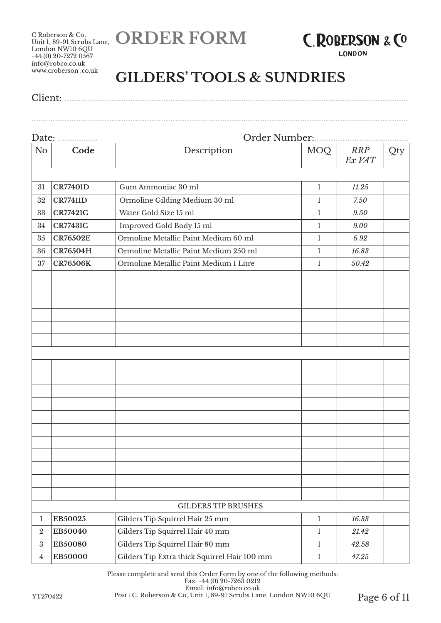**ORDER FORM**



**LONDON** 

................................................................................................................................................................

## **GILDERS' TOOLS & SUNDRIES**

| Client: |
|---------|
|---------|

# Date: ................. Order Number:........................................ No **Code** Description MOQ *RRP Ex VAT* Qty 31 **CR77401D** Gum Ammoniac 30 ml 1 *11.25* 32 **CR77411D** Ormoline Gilding Medium 30 ml 1 *7.50* 33 **CR77421C** Water Gold Size 15 ml 1 *9.50* 34 **CR77431C** Improved Gold Body 15 ml 1 *9.00* 35 **CR76502E** Ormoline Metallic Paint Medium 60 ml 1 *6.92* 36 **CR76504H** Ormoline Metallic Paint Medium 250 ml 1 *16.83* 37 **CR76506K** Ormoline Metallic Paint Medium 1 Litre 1 *50.42* GILDERS TIP BRUSHES 1 **EB50025** Gilders Tip Squirrel Hair 25 mm 1 *16.33* 2 **EB50040** Gilders Tip Squirrel Hair 40 mm 1 *21.42* 3 **EB50080** Gilders Tip Squirrel Hair 80 mm 1 *42.58* 4 **EB50000** Gilders Tip Extra thick Squirrel Hair 100 mm 1 *47.25*

Please complete and send this Order Form by one of the following methods: Fax: +44 (0) 20-7263 0212 Email: info@robco.co.uk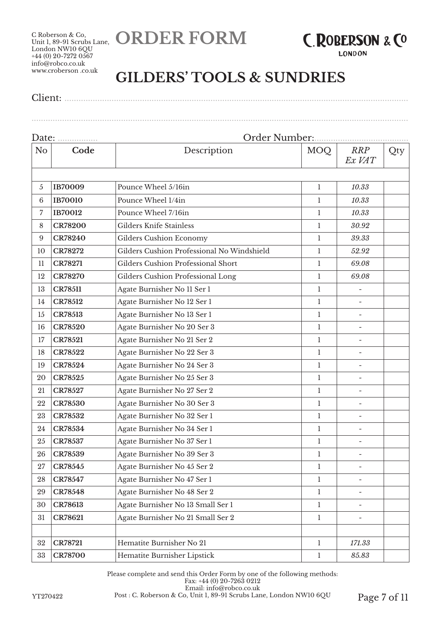**ORDER FORM**



**LONDON** 

## **GILDERS' TOOLS & SUNDRIES**

Client: ..................................................................................................................................................

| Date:           | Order Number:<br>. |                                            |              |                          |     |  |  |
|-----------------|--------------------|--------------------------------------------|--------------|--------------------------|-----|--|--|
| N <sub>o</sub>  | Code               | Description                                | MOQ          | <b>RRP</b><br>Ex VAT     | Qty |  |  |
|                 |                    |                                            |              |                          |     |  |  |
| 5               | <b>IB70009</b>     | Pounce Wheel 5/16in                        | $\mathbf{1}$ | 10.33                    |     |  |  |
| $6\phantom{.}6$ | <b>IB70010</b>     | Pounce Wheel 1/4in                         | $\mathbf{1}$ | 10.33                    |     |  |  |
| 7               | <b>IB70012</b>     | Pounce Wheel 7/16in                        | $\mathbf{1}$ | 10.33                    |     |  |  |
| 8               | <b>CR78200</b>     | Gilders Knife Stainless                    | 1            | 30.92                    |     |  |  |
| 9               | <b>CR78240</b>     | <b>Gilders Cushion Economy</b>             | 1            | 39.33                    |     |  |  |
| 10              | <b>CR78272</b>     | Gilders Cushion Professional No Windshield | 1            | 52.92                    |     |  |  |
| 11              | <b>CR78271</b>     | Gilders Cushion Professional Short         | $\mathbf{1}$ | 69.08                    |     |  |  |
| 12              | <b>CR78270</b>     | Gilders Cushion Professional Long          | $\mathbf{1}$ | 69.08                    |     |  |  |
| 13              | <b>CR78511</b>     | Agate Burnisher No 11 Ser 1                | $\mathbf{1}$ |                          |     |  |  |
| 14              | <b>CR78512</b>     | Agate Burnisher No 12 Ser 1                | $\mathbf{1}$ |                          |     |  |  |
| 15              | <b>CR78513</b>     | Agate Burnisher No 13 Ser 1                | 1            | $\overline{\phantom{a}}$ |     |  |  |
| 16              | <b>CR78520</b>     | Agate Burnisher No 20 Ser 3                | 1            |                          |     |  |  |
| 17              | <b>CR78521</b>     | Agate Burnisher No 21 Ser 2                | 1            | $\overline{\phantom{m}}$ |     |  |  |
| 18              | <b>CR78522</b>     | Agate Burnisher No 22 Ser 3                | $\mathbf{1}$ | $\overline{\phantom{a}}$ |     |  |  |
| 19              | CR78524            | Agate Burnisher No 24 Ser 3                | $\mathbf{1}$ |                          |     |  |  |
| 20              | CR78525            | Agate Burnisher No 25 Ser 3                | $\mathbf{1}$ |                          |     |  |  |
| 21              | CR78527            | Agate Burnisher No 27 Ser 2                | $\mathbf{1}$ | $\overline{a}$           |     |  |  |
| 22              | <b>CR78530</b>     | Agate Burnisher No 30 Ser 3                | $\mathbf{1}$ | $\overline{\phantom{a}}$ |     |  |  |
| 23              | <b>CR78532</b>     | Agate Burnisher No 32 Ser 1                | 1            | $\overline{\phantom{0}}$ |     |  |  |
| 24              | CR78534            | Agate Burnisher No 34 Ser 1                | $\mathbf{1}$ | $\overline{a}$           |     |  |  |
| 25              | CR78537            | Agate Burnisher No 37 Ser 1                | $\mathbf{1}$ | $\overline{\phantom{a}}$ |     |  |  |
| 26              | <b>CR78539</b>     | Agate Burnisher No 39 Ser 3                | $\mathbf{1}$ |                          |     |  |  |
| $27\,$          | CR78545            | Agate Burnisher No 45 Ser 2                | $\mathbf{1}$ |                          |     |  |  |
| 28              | CR78547            | Agate Burnisher No 47 Ser 1                | $\mathbf{1}$ |                          |     |  |  |
| 29              | <b>CR78548</b>     | Agate Burnisher No 48 Ser 2                | 1            | $\overline{\phantom{a}}$ |     |  |  |
| 30              | <b>CR78613</b>     | Agate Burnisher No 13 Small Ser 1          | $\mathbf{1}$ | $\overline{\phantom{0}}$ |     |  |  |
| 31              | CR78621            | Agate Burnisher No 21 Small Ser 2          | 1            |                          |     |  |  |
|                 |                    |                                            |              |                          |     |  |  |
| 32              | <b>CR78721</b>     | Hematite Burnisher No 21                   | $\mathbf{1}$ | 171.33                   |     |  |  |
| 33              | <b>CR78700</b>     | Hematite Burnisher Lipstick                | $\mathbf{1}$ | 85.83                    |     |  |  |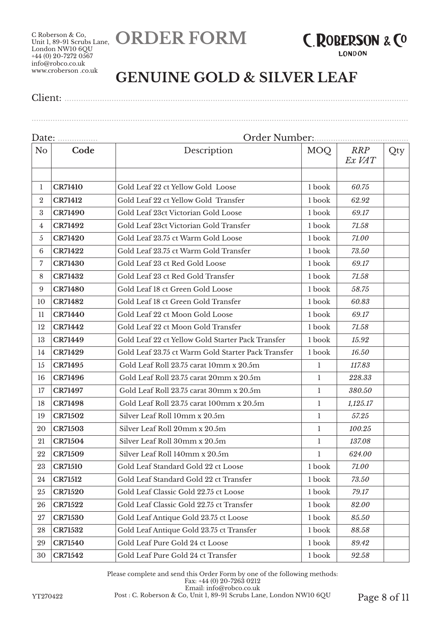Unit 1, 89-91 Scrubs Lane, **ORDER FORM**

C Roberson & Co, London NW10 6QU +44 (0) 20-7272 0567 info@robco.co.uk www.croberson .co.uk



**LONDON** 

### **GENUINE GOLD & SILVER LEAF**

Client: ..................................................................................................................................................

#### Date: ................. Order Number:........................................ No **Code Description** MOQ *RRP Ex VAT* Qty **CR71410** Gold Leaf 22 ct Yellow Gold Loose 1 book *60.75* **CR71412** Gold Leaf 22 ct Yellow Gold Transfer 1 book 62.92 **CR71490** Gold Leaf 23ct Victorian Gold Loose 1 book *69.17* **CR71492** Gold Leaf 23ct Victorian Gold Transfer 1 book *71.58* **CR71420** Gold Leaf 23.75 ct Warm Gold Loose 1 book *71.00* **CR71422** Gold Leaf 23.75 ct Warm Gold Transfer 1 book *73.50* **CR71430** Gold Leaf 23 ct Red Gold Loose 1 book *69.17* **CR71432** Gold Leaf 23 ct Red Gold Transfer 1 book 71.58 **CR71480** Gold Leaf 18 ct Green Gold Loose 1 book *58.75* **CR71482** Gold Leaf 18 ct Green Gold Transfer 1 book *60.83* **CR71440** Gold Leaf 22 ct Moon Gold Loose 1 book *69.17* **CR71442** Gold Leaf 22 ct Moon Gold Transfer 1 book *71.58* **CR71449** Gold Leaf 22 ct Yellow Gold Starter Pack Transfer 1 book *15.92* **CR71429** Gold Leaf 23.75 ct Warm Gold Starter Pack Transfer 1 book *16.50* **CR71495** Gold Leaf Roll 23.75 carat 10mm x 20.5m 1 *117.83* **CR71496 Cold Leaf Roll 23.75 carat 20mm x 20.5m** 1 228.33 **CR71497** Gold Leaf Roll 23.75 carat 30mm x 20.5m 1 *380.50* **CR71498 Cold Leaf Roll 23.75 carat 100mm x 20.5m** 1 1 1,125.17 **CR71502** Silver Leaf Roll 10mm x 20.5m 1 *57.25* **CR71503** Silver Leaf Roll 20mm x 20.5m 1 *100.25* **CR71504** Silver Leaf Roll 30mm x 20.5m 1 *137.08* **CR71509** Silver Leaf Roll 140mm x 20.5m 1 *624.00* **CR71510** Gold Leaf Standard Gold 22 ct Loose 1 book *71.00* **CR71512** Gold Leaf Standard Gold 22 ct Transfer 1 book *73.50* **CR71520** Gold Leaf Classic Gold 22.75 ct Loose 1 book *79.17* **CR71522** Gold Leaf Classic Gold 22.75 ct Transfer 1 book *82.00* **CR71530** Gold Leaf Antique Gold 23.75 ct Loose 1 book *85.50* **CR71532** Gold Leaf Antique Gold 23.75 ct Transfer 1 book *88.58* **CR71540** Gold Leaf Pure Gold 24 ct Loose 1 book *89.42* **CR71542** Gold Leaf Pure Gold 24 ct Transfer 1 book *92.58*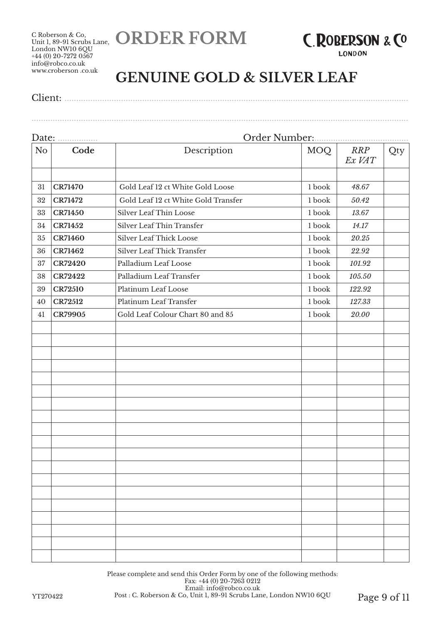**ORDER FORM**



**LONDON** 

## **GENUINE GOLD & SILVER LEAF**

Client: ..................................................................................................................................................

| No | Code           | Description                         | <b>MOQ</b> | RRP<br>Ex VAT | Qty |  |
|----|----------------|-------------------------------------|------------|---------------|-----|--|
|    |                |                                     |            |               |     |  |
| 31 | <b>CR71470</b> | Gold Leaf 12 ct White Gold Loose    | 1 book     | 48.67         |     |  |
| 32 | <b>CR71472</b> | Gold Leaf 12 ct White Gold Transfer | 1 book     | 50.42         |     |  |
| 33 | <b>CR71450</b> | Silver Leaf Thin Loose              | 1 book     | 13.67         |     |  |
| 34 | <b>CR71452</b> | Silver Leaf Thin Transfer           | 1 book     | 14.17         |     |  |
| 35 | <b>CR71460</b> | Silver Leaf Thick Loose             | 1 book     | 20.25         |     |  |
| 36 | CR71462        | Silver Leaf Thick Transfer          | 1 book     | 22.92         |     |  |
| 37 | <b>CR72420</b> | Palladium Leaf Loose                | 1 book     | 101.92        |     |  |
| 38 | <b>CR72422</b> | Palladium Leaf Transfer             | 1 book     | 105.50        |     |  |
| 39 | <b>CR72510</b> | Platinum Leaf Loose                 | 1 book     | 122.92        |     |  |
| 40 | <b>CR72512</b> | Platinum Leaf Transfer              | 1 book     | 127.33        |     |  |
| 41 | CR79905        | Gold Leaf Colour Chart 80 and 85    | 1 book     | 20.00         |     |  |
|    |                |                                     |            |               |     |  |
|    |                |                                     |            |               |     |  |
|    |                |                                     |            |               |     |  |
|    |                |                                     |            |               |     |  |
|    |                |                                     |            |               |     |  |
|    |                |                                     |            |               |     |  |
|    |                |                                     |            |               |     |  |
|    |                |                                     |            |               |     |  |
|    |                |                                     |            |               |     |  |
|    |                |                                     |            |               |     |  |
|    |                |                                     |            |               |     |  |
|    |                |                                     |            |               |     |  |
|    |                |                                     |            |               |     |  |
|    |                |                                     |            |               |     |  |
|    |                |                                     |            |               |     |  |
|    |                |                                     |            |               |     |  |
|    |                |                                     |            |               |     |  |
|    |                |                                     |            |               |     |  |
|    |                |                                     |            |               |     |  |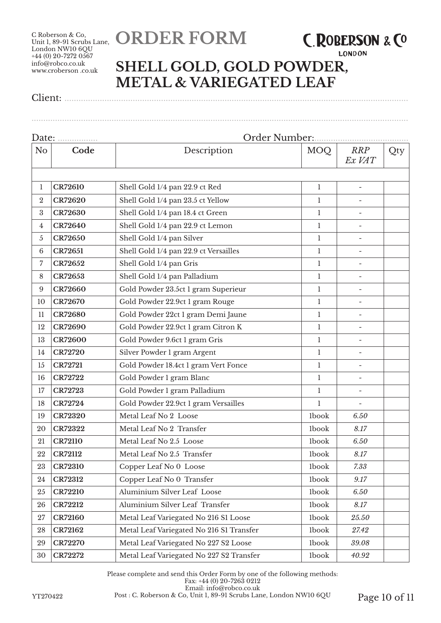## **ORDER FORM**

## **C.ROBERSON & CO**

#### **LONDON**

## **SHELL GOLD, GOLD POWDER, METAL & VARIEGATED LEAF**

................................................................................................................................................................

Client: ..................................................................................................................................................

| Date:            |                |                                          |              |                          |     |  |
|------------------|----------------|------------------------------------------|--------------|--------------------------|-----|--|
| N <sub>o</sub>   | Code           | Description                              | MOQ          | <b>RRP</b><br>Ex VAT     | Qty |  |
|                  |                |                                          |              |                          |     |  |
| 1                | <b>CR72610</b> | Shell Gold 1/4 pan 22.9 ct Red           | $\mathbf{1}$ | $\overline{\phantom{a}}$ |     |  |
| $\boldsymbol{2}$ | <b>CR72620</b> | Shell Gold 1/4 pan 23.5 ct Yellow        | $\mathbf{1}$ |                          |     |  |
| $\boldsymbol{3}$ | <b>CR72630</b> | Shell Gold 1/4 pan 18.4 ct Green         | $\mathbf{1}$ | $\overline{\phantom{a}}$ |     |  |
| 4                | <b>CR72640</b> | Shell Gold 1/4 pan 22.9 ct Lemon         | $\mathbf{1}$ |                          |     |  |
| 5                | <b>CR72650</b> | Shell Gold 1/4 pan Silver                | $\mathbf{1}$ | $\overline{\phantom{a}}$ |     |  |
| 6                | <b>CR72651</b> | Shell Gold 1/4 pan 22.9 ct Versailles    | $\mathbf{1}$ |                          |     |  |
| 7                | CR72652        | Shell Gold 1/4 pan Gris                  | $\mathbf{1}$ |                          |     |  |
| 8                | CR72653        | Shell Gold 1/4 pan Palladium             | $\mathbf{1}$ |                          |     |  |
| 9                | <b>CR72660</b> | Gold Powder 23.5ct 1 gram Superieur      | $\mathbf{1}$ |                          |     |  |
| 10               | <b>CR72670</b> | Gold Powder 22.9ct 1 gram Rouge          | $\mathbf{1}$ | $\overline{\phantom{a}}$ |     |  |
| 11               | <b>CR72680</b> | Gold Powder 22ct 1 gram Demi Jaune       | 1            | $\overline{\phantom{m}}$ |     |  |
| 12               | <b>CR72690</b> | Gold Powder 22.9ct 1 gram Citron K       | $\mathbf{1}$ | $\overline{\phantom{a}}$ |     |  |
| 13               | <b>CR72600</b> | Gold Powder 9.6ct 1 gram Gris            | $\mathbf{1}$ |                          |     |  |
| 14               | <b>CR72720</b> | Silver Powder 1 gram Argent              | $\mathbf{1}$ |                          |     |  |
| 15               | <b>CR72721</b> | Gold Powder 18.4ct 1 gram Vert Fonce     | $\mathbf{1}$ |                          |     |  |
| 16               | <b>CR72722</b> | Gold Powder 1 gram Blanc                 | $\mathbf{1}$ |                          |     |  |
| 17               | <b>CR72723</b> | Gold Powder 1 gram Palladium             | $\mathbf{1}$ | $\overline{\phantom{a}}$ |     |  |
| 18               | <b>CR72724</b> | Gold Powder 22.9ct 1 gram Versailles     | 1            | $\overline{\phantom{a}}$ |     |  |
| 19               | <b>CR72320</b> | Metal Leaf No 2 Loose                    | <b>lbook</b> | 6.50                     |     |  |
| 20               | <b>CR72322</b> | Metal Leaf No 2 Transfer                 | <b>lbook</b> | 8.17                     |     |  |
| 21               | <b>CR72110</b> | Metal Leaf No 2.5 Loose                  | <b>lbook</b> | 6.50                     |     |  |
| 22               | <b>CR72112</b> | Metal Leaf No 2.5 Transfer               | <b>lbook</b> | 8.17                     |     |  |
| 23               | <b>CR72310</b> | Copper Leaf No 0 Loose                   | <b>lbook</b> | 7.33                     |     |  |
| 24               | <b>CR72312</b> | Copper Leaf No 0 Transfer                | <b>lbook</b> | 9.17                     |     |  |
| 25               | <b>CR72210</b> | Aluminium Silver Leaf Loose              | <b>lbook</b> | 6.50                     |     |  |
| 26               | <b>CR72212</b> | Aluminium Silver Leaf Transfer           | <b>lbook</b> | 8.17                     |     |  |
| 27               | <b>CR72160</b> | Metal Leaf Variegated No 216 S1 Loose    | <b>lbook</b> | 25.50                    |     |  |
| 28               | <b>CR72162</b> | Metal Leaf Variegated No 216 S1 Transfer | <b>lbook</b> | 27.42                    |     |  |
| 29               | <b>CR72270</b> | Metal Leaf Variegated No 227 S2 Loose    | <b>lbook</b> | 39.08                    |     |  |
| 30               | <b>CR72272</b> | Metal Leaf Variegated No 227 S2 Transfer | <b>lbook</b> | 40.92                    |     |  |